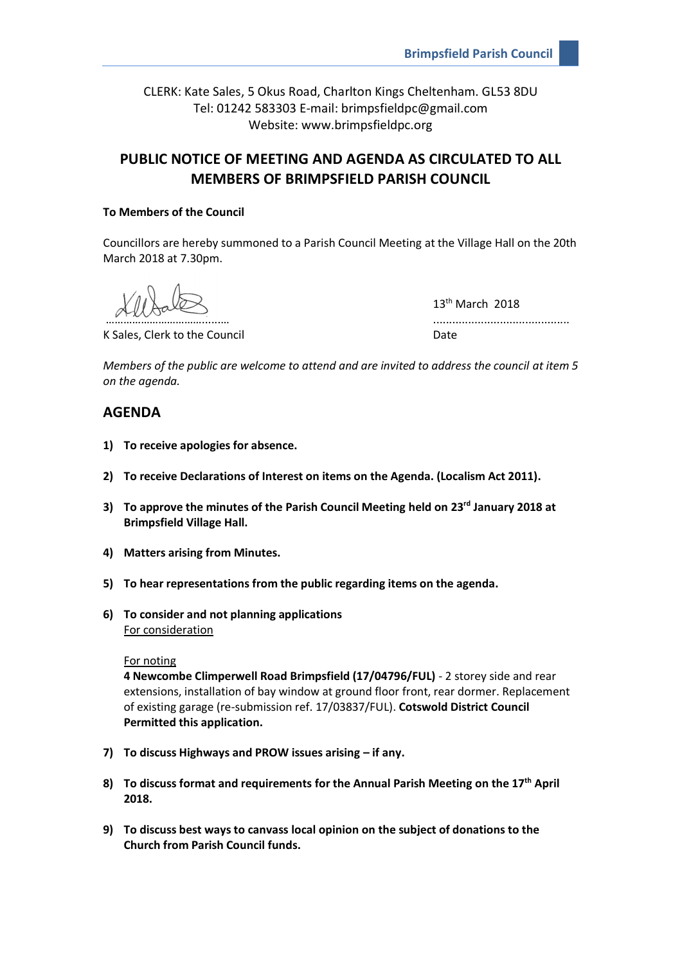CLERK: Kate Sales, 5 Okus Road, Charlton Kings Cheltenham. GL53 8DU Tel: 01242 583303 E-mail: brimpsfieldpc@gmail.com Website: www.brimpsfieldpc.org

# **PUBLIC NOTICE OF MEETING AND AGENDA AS CIRCULATED TO ALL MEMBERS OF BRIMPSFIELD PARISH COUNCIL**

### **To Members of the Council**

Councillors are hereby summoned to a Parish Council Meeting at the Village Hall on the 20th March 2018 at 7.30pm.

K Sales, Clerk to the Council Date Council Date

13<sup>th</sup> March 2018 ………………………………………………

*Members of the public are welcome to attend and are invited to address the council at item 5 on the agenda.*

## **AGENDA**

- **1) To receive apologies for absence.**
- **2) To receive Declarations of Interest on items on the Agenda. (Localism Act 2011).**
- **3) To approve the minutes of the Parish Council Meeting held on 23rd January 2018 at Brimpsfield Village Hall.**
- **4) Matters arising from Minutes.**
- **5) To hear representations from the public regarding items on the agenda.**
- **6) To consider and not planning applications** For consideration

#### For noting

**4 Newcombe Climperwell Road Brimpsfield (17/04796/FUL)** - 2 storey side and rear extensions, installation of bay window at ground floor front, rear dormer. Replacement of existing garage (re-submission ref. 17/03837/FUL). **Cotswold District Council Permitted this application.**

- **7) To discuss Highways and PROW issues arising – if any.**
- **8) To discuss format and requirements for the Annual Parish Meeting on the 17th April 2018.**
- **9) To discuss best ways to canvass local opinion on the subject of donations to the Church from Parish Council funds.**